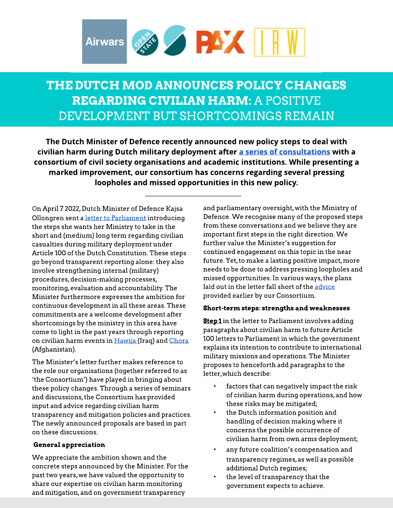

## THE DUTCH MOD ANNOUNCES POLICY CHANGES **REGARDING CIVILIAN HARM: A POSITIVE** DEVELOPMENT BUT SHORTCOMINGS REMAIN

The Dutch Minister of Defence recently announced new policy steps to deal with civili[a](https://intimacies-of-remote-warfare.nl/irwprojects/after-hawija-the-way-forward-for-the-dutch-ministry-of-defence/)n harm during Dutch military deployment after a [series](https://intimacies-of-remote-warfare.nl/irwprojects/after-hawija-the-way-forward-for-the-dutch-ministry-of-defence/) [of](https://intimacies-of-remote-warfare.nl/irwprojects/after-hawija-the-way-forward-for-the-dutch-ministry-of-defence/) [consult](https://intimacies-of-remote-warfare.nl/irwprojects/after-hawija-the-way-forward-for-the-dutch-ministry-of-defence/)ations with a consortium of civil society organisations and academic institutions. While presenting a marked improvement, our consortium has concerns regarding several pressing loopholes and missed opportunities in this new policy.

On April 7 2022, Dutch Minister of Defence Kajsa Ollongren sent a [letter](https://www.tweedekamer.nl/kamerstukken/brieven_regering/detail?id=2022Z06951&did=2022D14088) [to](https://www.tweedekamer.nl/kamerstukken/brieven_regering/detail?id=2022Z06951&did=2022D14088) [Parliam](https://www.tweedekamer.nl/kamerstukken/brieven_regering/detail?id=2022Z06951&did=2022D14088)ent introducing the steps she wants her Ministry to take in the short and (medium) long term regarding civilian casualties during military deployment under Article 100 of the Dutch Constitution. These steps go beyond transparent reporting alone: they also involve strengthening internal (military) procedures, decision-making processes, m onitoring,evaluation and accountability. The Minister furthermore expresses the ambition for continuous development in all these areas. These commitments are a welcome development after shortcomings by the ministry in this area have come to light in the past years through reporting on civilian harm events in H[awija](https://protectionofcivilians.org/report/after-the-strike/) (Iraq) and [Chora](https://www.trouw.nl/buitenland/afghanen-eisen-logboeken-op-van-nederlandse-f-16-s-jullie-kwamen-helpen-maar-hebben-ons-verwoest~b6bca916/) (Afghanistan).

The Minister's letter further makes reference to the role our organisations (together referred to as 'the Consortium') have played in bringing about these policy changes. Through a series of seminars and discussions, the Consortium has provided input and advice regarding civilian harm transparency and mitigation policies and practices. The newly announced proposals are based in part on these discussions.

## General appreciation

We appreciate the ambition shown and the concrete steps announced by the Minister. For the past two years, we have valued the opportunity to share our expertise on civilian harm monitoring and mitigation, and on government transparency

and parliamentary oversight, with the Ministry of Defence. We recognise many of the proposed steps from these conversations and we believe they are important first steps in the right direction. We further value the Minister's suggestion for continued engagement on this topic in the near future. Yet, to make a lasting positive impact, more needs to be done to address pressing loopholes and missed opportunities. In various ways, the plans laid out in the letter fall short of the [advice](https://paxforpeace.nl/what-we-do/publications/after-hawija-the-way-forward-for-the-dutch-ministry-of-defence) provided earlier by our Consortium.

## Short-term steps: strengths and weaknesses

Step 1 in the letter to Parliament involves adding paragraphsabout civilian harm to future Article 100 letters to Parliament in which the government explains its intention to contribute to international military missions and operations. The Minister proposes to henceforth add paragraphs to the letter,which describe:

- factors that can negatively impact the risk of civilian harm during operations,and how these risks may be mitigated;
- the Dutch information position and handling of decision making where it concerns the possible occurrence of civilian harm from own arms deployment;
- any future coalition's compensation and transparency regimes, as well as possible additional Dutch regimes;
- the level of transparency that the government expects to achieve.